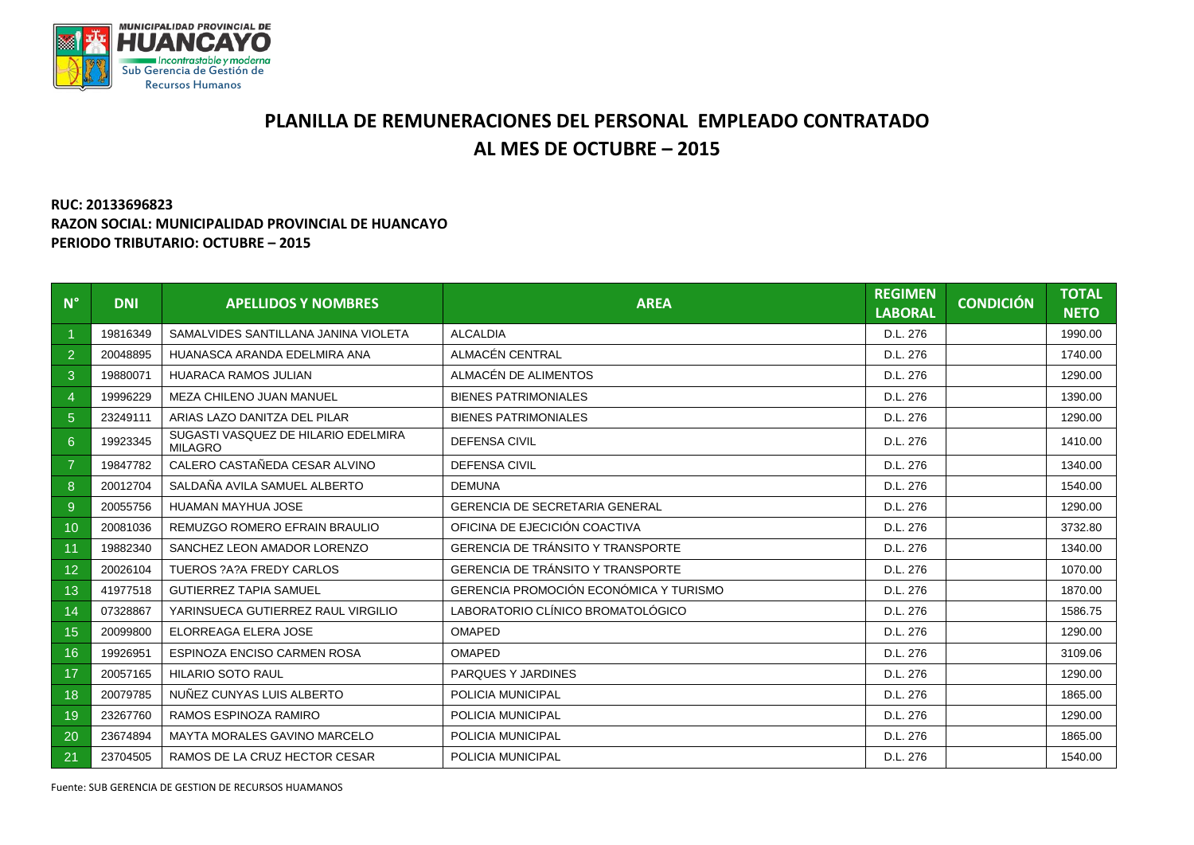

## **PLANILLA DE REMUNERACIONES DEL PERSONAL EMPLEADO CONTRATADO AL MES DE OCTUBRE – 2015**

## **RUC: 20133696823 RAZON SOCIAL: MUNICIPALIDAD PROVINCIAL DE HUANCAYO PERIODO TRIBUTARIO: OCTUBRE – 2015**

| $N^{\circ}$    | <b>DNI</b> | <b>APELLIDOS Y NOMBRES</b>                            | <b>AREA</b>                              | <b>REGIMEN</b><br><b>LABORAL</b> | <b>CONDICIÓN</b> | <b>TOTAL</b><br><b>NETO</b> |
|----------------|------------|-------------------------------------------------------|------------------------------------------|----------------------------------|------------------|-----------------------------|
|                | 19816349   | SAMALVIDES SANTILLANA JANINA VIOLETA                  | <b>ALCALDIA</b>                          | D.L. 276                         |                  | 1990.00                     |
| 2              | 20048895   | HUANASCA ARANDA EDELMIRA ANA                          | ALMACÉN CENTRAL                          | D.L. 276                         |                  | 1740.00                     |
| 3              | 19880071   | <b>HUARACA RAMOS JULIAN</b>                           | ALMACÉN DE ALIMENTOS                     | D.L. 276                         |                  | 1290.00                     |
| $\overline{4}$ | 19996229   | MEZA CHILENO JUAN MANUEL                              | <b>BIENES PATRIMONIALES</b>              | D.L. 276                         |                  | 1390.00                     |
| $\overline{5}$ | 23249111   | ARIAS LAZO DANITZA DEL PILAR                          | <b>BIENES PATRIMONIALES</b>              | D.L. 276                         |                  | 1290.00                     |
| $6\phantom{1}$ | 19923345   | SUGASTI VASQUEZ DE HILARIO EDELMIRA<br><b>MILAGRO</b> | <b>DEFENSA CIVIL</b>                     | D.L. 276                         |                  | 1410.00                     |
| $\overline{7}$ | 19847782   | CALERO CASTAÑEDA CESAR ALVINO                         | <b>DEFENSA CIVIL</b>                     | D.L. 276                         |                  | 1340.00                     |
| 8              | 20012704   | SALDAÑA AVILA SAMUEL ALBERTO                          | <b>DEMUNA</b>                            | D.L. 276                         |                  | 1540.00                     |
| 9              | 20055756   | HUAMAN MAYHUA JOSE                                    | <b>GERENCIA DE SECRETARIA GENERAL</b>    | D.L. 276                         |                  | 1290.00                     |
| 10             | 20081036   | REMUZGO ROMERO EFRAIN BRAULIO                         | OFICINA DE EJECICIÓN COACTIVA            | D.L. 276                         |                  | 3732.80                     |
| 11             | 19882340   | SANCHEZ LEON AMADOR LORENZO                           | <b>GERENCIA DE TRÁNSITO Y TRANSPORTE</b> | D.L. 276                         |                  | 1340.00                     |
| 12             | 20026104   | TUEROS ?A?A FREDY CARLOS                              | GERENCIA DE TRÁNSITO Y TRANSPORTE        | D.L. 276                         |                  | 1070.00                     |
| 13             | 41977518   | <b>GUTIERREZ TAPIA SAMUEL</b>                         | GERENCIA PROMOCIÓN ECONÓMICA Y TURISMO   | D.L. 276                         |                  | 1870.00                     |
| 14             | 07328867   | YARINSUECA GUTIERREZ RAUL VIRGILIO                    | LABORATORIO CLÍNICO BROMATOLÓGICO        | D.L. 276                         |                  | 1586.75                     |
| 15             | 20099800   | ELORREAGA ELERA JOSE                                  | <b>OMAPED</b>                            | D.L. 276                         |                  | 1290.00                     |
| 16             | 19926951   | ESPINOZA ENCISO CARMEN ROSA                           | <b>OMAPED</b>                            | D.L. 276                         |                  | 3109.06                     |
| 17             | 20057165   | <b>HILARIO SOTO RAUL</b>                              | PARQUES Y JARDINES                       | D.L. 276                         |                  | 1290.00                     |
| 18             | 20079785   | NUÑEZ CUNYAS LUIS ALBERTO                             | POLICIA MUNICIPAL                        | D.L. 276                         |                  | 1865.00                     |
| 19             | 23267760   | RAMOS ESPINOZA RAMIRO                                 | POLICIA MUNICIPAL                        | D.L. 276                         |                  | 1290.00                     |
| 20             | 23674894   | MAYTA MORALES GAVINO MARCELO                          | POLICIA MUNICIPAL                        | D.L. 276                         |                  | 1865.00                     |
| 21             | 23704505   | RAMOS DE LA CRUZ HECTOR CESAR                         | POLICIA MUNICIPAL                        | D.L. 276                         |                  | 1540.00                     |